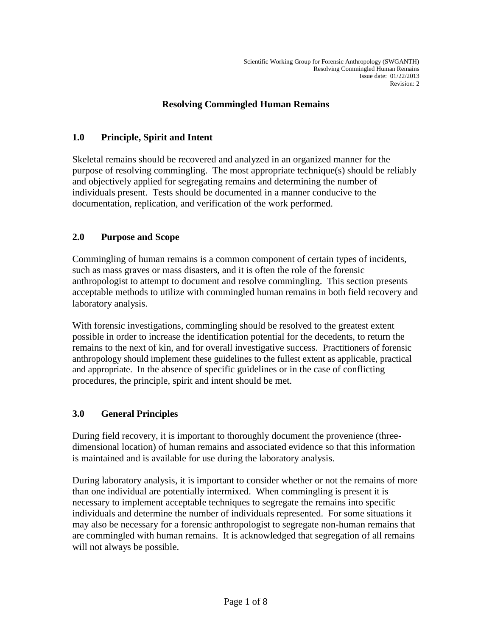#### **Resolving Commingled Human Remains**

### **1.0 Principle, Spirit and Intent**

Skeletal remains should be recovered and analyzed in an organized manner for the purpose of resolving commingling. The most appropriate technique(s) should be reliably and objectively applied for segregating remains and determining the number of individuals present. Tests should be documented in a manner conducive to the documentation, replication, and verification of the work performed.

### **2.0 Purpose and Scope**

Commingling of human remains is a common component of certain types of incidents, such as mass graves or mass disasters, and it is often the role of the forensic anthropologist to attempt to document and resolve commingling. This section presents acceptable methods to utilize with commingled human remains in both field recovery and laboratory analysis.

With forensic investigations, commingling should be resolved to the greatest extent possible in order to increase the identification potential for the decedents, to return the remains to the next of kin, and for overall investigative success. Practitioners of forensic anthropology should implement these guidelines to the fullest extent as applicable, practical and appropriate. In the absence of specific guidelines or in the case of conflicting procedures, the principle, spirit and intent should be met.

#### **3.0 General Principles**

During field recovery, it is important to thoroughly document the provenience (threedimensional location) of human remains and associated evidence so that this information is maintained and is available for use during the laboratory analysis.

During laboratory analysis, it is important to consider whether or not the remains of more than one individual are potentially intermixed. When commingling is present it is necessary to implement acceptable techniques to segregate the remains into specific individuals and determine the number of individuals represented. For some situations it may also be necessary for a forensic anthropologist to segregate non-human remains that are commingled with human remains. It is acknowledged that segregation of all remains will not always be possible.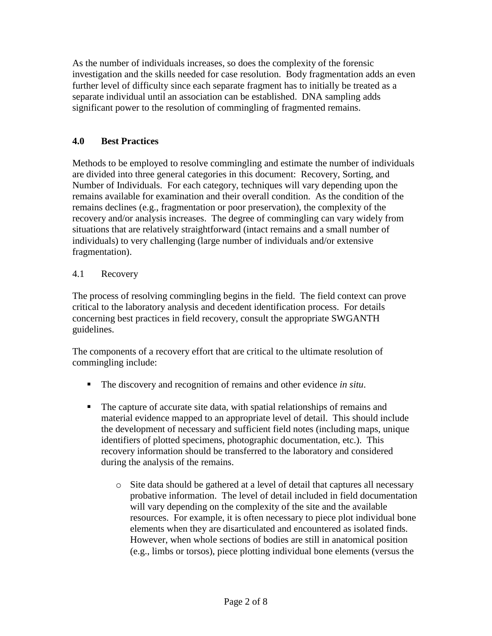As the number of individuals increases, so does the complexity of the forensic investigation and the skills needed for case resolution. Body fragmentation adds an even further level of difficulty since each separate fragment has to initially be treated as a separate individual until an association can be established. DNA sampling adds significant power to the resolution of commingling of fragmented remains.

### **4.0 Best Practices**

Methods to be employed to resolve commingling and estimate the number of individuals are divided into three general categories in this document: Recovery, Sorting, and Number of Individuals. For each category, techniques will vary depending upon the remains available for examination and their overall condition. As the condition of the remains declines (e.g., fragmentation or poor preservation), the complexity of the recovery and/or analysis increases. The degree of commingling can vary widely from situations that are relatively straightforward (intact remains and a small number of individuals) to very challenging (large number of individuals and/or extensive fragmentation).

#### 4.1 Recovery

The process of resolving commingling begins in the field. The field context can prove critical to the laboratory analysis and decedent identification process. For details concerning best practices in field recovery, consult the appropriate SWGANTH guidelines.

The components of a recovery effort that are critical to the ultimate resolution of commingling include:

- The discovery and recognition of remains and other evidence *in situ*.
- The capture of accurate site data, with spatial relationships of remains and material evidence mapped to an appropriate level of detail. This should include the development of necessary and sufficient field notes (including maps, unique identifiers of plotted specimens, photographic documentation, etc.). This recovery information should be transferred to the laboratory and considered during the analysis of the remains.
	- o Site data should be gathered at a level of detail that captures all necessary probative information. The level of detail included in field documentation will vary depending on the complexity of the site and the available resources. For example, it is often necessary to piece plot individual bone elements when they are disarticulated and encountered as isolated finds. However, when whole sections of bodies are still in anatomical position (e.g., limbs or torsos), piece plotting individual bone elements (versus the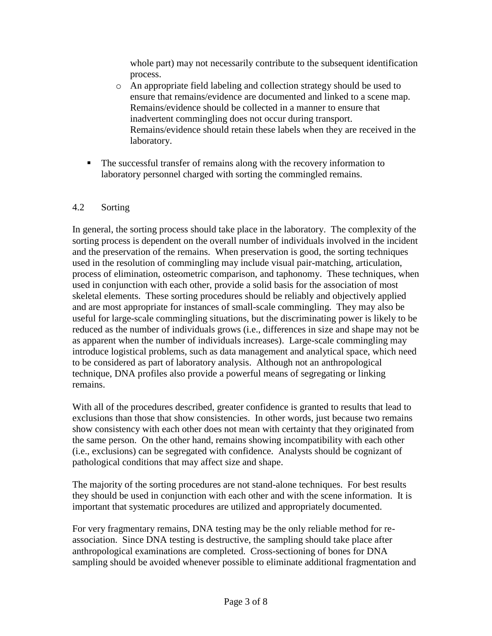whole part) may not necessarily contribute to the subsequent identification process.

- o An appropriate field labeling and collection strategy should be used to ensure that remains/evidence are documented and linked to a scene map. Remains/evidence should be collected in a manner to ensure that inadvertent commingling does not occur during transport. Remains/evidence should retain these labels when they are received in the laboratory.
- The successful transfer of remains along with the recovery information to laboratory personnel charged with sorting the commingled remains.

### 4.2 Sorting

In general, the sorting process should take place in the laboratory. The complexity of the sorting process is dependent on the overall number of individuals involved in the incident and the preservation of the remains. When preservation is good, the sorting techniques used in the resolution of commingling may include visual pair-matching, articulation, process of elimination, osteometric comparison, and taphonomy. These techniques, when used in conjunction with each other, provide a solid basis for the association of most skeletal elements. These sorting procedures should be reliably and objectively applied and are most appropriate for instances of small-scale commingling. They may also be useful for large-scale commingling situations, but the discriminating power is likely to be reduced as the number of individuals grows (i.e., differences in size and shape may not be as apparent when the number of individuals increases). Large-scale commingling may introduce logistical problems, such as data management and analytical space, which need to be considered as part of laboratory analysis. Although not an anthropological technique, DNA profiles also provide a powerful means of segregating or linking remains.

With all of the procedures described, greater confidence is granted to results that lead to exclusions than those that show consistencies. In other words, just because two remains show consistency with each other does not mean with certainty that they originated from the same person. On the other hand, remains showing incompatibility with each other (i.e., exclusions) can be segregated with confidence. Analysts should be cognizant of pathological conditions that may affect size and shape.

The majority of the sorting procedures are not stand-alone techniques. For best results they should be used in conjunction with each other and with the scene information. It is important that systematic procedures are utilized and appropriately documented.

For very fragmentary remains, DNA testing may be the only reliable method for reassociation. Since DNA testing is destructive, the sampling should take place after anthropological examinations are completed. Cross-sectioning of bones for DNA sampling should be avoided whenever possible to eliminate additional fragmentation and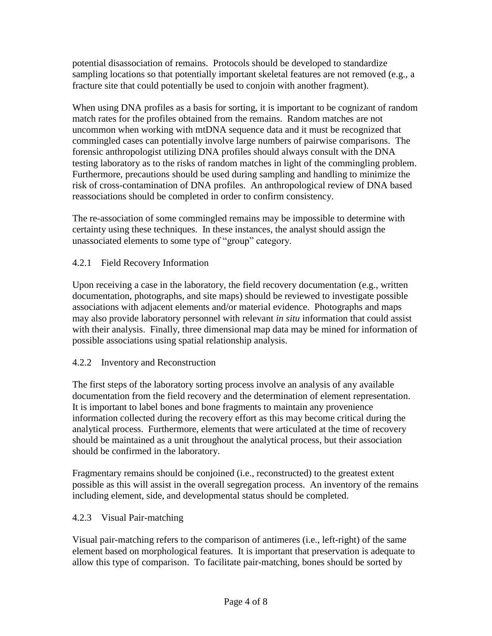potential disassociation of remains. Protocols should be developed to standardize sampling locations so that potentially important skeletal features are not removed (e.g., a fracture site that could potentially be used to conjoin with another fragment).

When using DNA profiles as a basis for sorting, it is important to be cognizant of random match rates for the profiles obtained from the remains. Random matches are not uncommon when working with mtDNA sequence data and it must be recognized that commingled cases can potentially involve large numbers of pairwise comparisons. The forensic anthropologist utilizing DNA profiles should always consult with the DNA testing laboratory as to the risks of random matches in light of the commingling problem. Furthermore, precautions should be used during sampling and handling to minimize the risk of cross-contamination of DNA profiles. An anthropological review of DNA based reassociations should be completed in order to confirm consistency.

The re-association of some commingled remains may be impossible to determine with certainty using these techniques. In these instances, the analyst should assign the unassociated elements to some type of "group" category.

# 4.2.1 Field Recovery Information

Upon receiving a case in the laboratory, the field recovery documentation (e.g., written documentation, photographs, and site maps) should be reviewed to investigate possible associations with adjacent elements and/or material evidence. Photographs and maps may also provide laboratory personnel with relevant *in situ* information that could assist with their analysis. Finally, three dimensional map data may be mined for information of possible associations using spatial relationship analysis.

# 4.2.2 Inventory and Reconstruction

The first steps of the laboratory sorting process involve an analysis of any available documentation from the field recovery and the determination of element representation. It is important to label bones and bone fragments to maintain any provenience information collected during the recovery effort as this may become critical during the analytical process. Furthermore, elements that were articulated at the time of recovery should be maintained as a unit throughout the analytical process, but their association should be confirmed in the laboratory.

Fragmentary remains should be conjoined (i.e., reconstructed) to the greatest extent possible as this will assist in the overall segregation process. An inventory of the remains including element, side, and developmental status should be completed.

#### 4.2.3 Visual Pair-matching

Visual pair-matching refers to the comparison of antimeres (i.e., left-right) of the same element based on morphological features. It is important that preservation is adequate to allow this type of comparison. To facilitate pair-matching, bones should be sorted by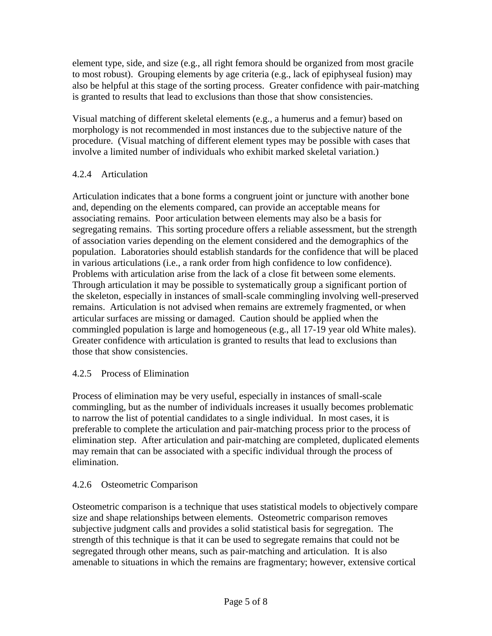element type, side, and size (e.g., all right femora should be organized from most gracile to most robust). Grouping elements by age criteria (e.g., lack of epiphyseal fusion) may also be helpful at this stage of the sorting process. Greater confidence with pair-matching is granted to results that lead to exclusions than those that show consistencies.

Visual matching of different skeletal elements (e.g., a humerus and a femur) based on morphology is not recommended in most instances due to the subjective nature of the procedure. (Visual matching of different element types may be possible with cases that involve a limited number of individuals who exhibit marked skeletal variation.)

# 4.2.4 Articulation

Articulation indicates that a bone forms a congruent joint or juncture with another bone and, depending on the elements compared, can provide an acceptable means for associating remains. Poor articulation between elements may also be a basis for segregating remains. This sorting procedure offers a reliable assessment, but the strength of association varies depending on the element considered and the demographics of the population. Laboratories should establish standards for the confidence that will be placed in various articulations (i.e., a rank order from high confidence to low confidence). Problems with articulation arise from the lack of a close fit between some elements. Through articulation it may be possible to systematically group a significant portion of the skeleton, especially in instances of small-scale commingling involving well-preserved remains. Articulation is not advised when remains are extremely fragmented, or when articular surfaces are missing or damaged. Caution should be applied when the commingled population is large and homogeneous (e.g., all 17-19 year old White males). Greater confidence with articulation is granted to results that lead to exclusions than those that show consistencies.

# 4.2.5 Process of Elimination

Process of elimination may be very useful, especially in instances of small-scale commingling, but as the number of individuals increases it usually becomes problematic to narrow the list of potential candidates to a single individual. In most cases, it is preferable to complete the articulation and pair-matching process prior to the process of elimination step. After articulation and pair-matching are completed, duplicated elements may remain that can be associated with a specific individual through the process of elimination.

# 4.2.6 Osteometric Comparison

Osteometric comparison is a technique that uses statistical models to objectively compare size and shape relationships between elements. Osteometric comparison removes subjective judgment calls and provides a solid statistical basis for segregation. The strength of this technique is that it can be used to segregate remains that could not be segregated through other means, such as pair-matching and articulation. It is also amenable to situations in which the remains are fragmentary; however, extensive cortical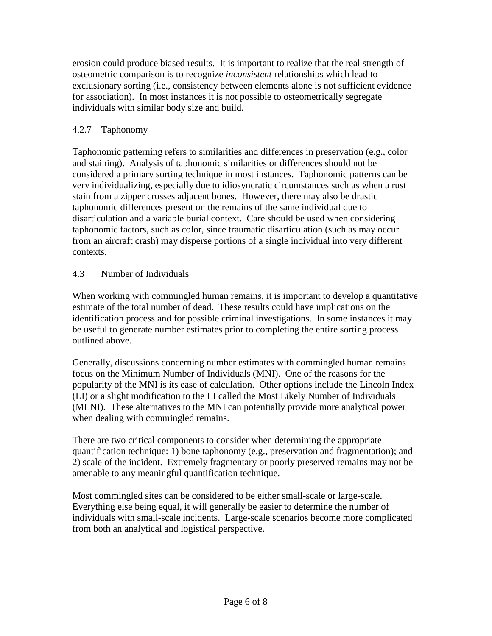erosion could produce biased results. It is important to realize that the real strength of osteometric comparison is to recognize *inconsistent* relationships which lead to exclusionary sorting (i.e., consistency between elements alone is not sufficient evidence for association). In most instances it is not possible to osteometrically segregate individuals with similar body size and build.

### 4.2.7 Taphonomy

Taphonomic patterning refers to similarities and differences in preservation (e.g., color and staining). Analysis of taphonomic similarities or differences should not be considered a primary sorting technique in most instances. Taphonomic patterns can be very individualizing, especially due to idiosyncratic circumstances such as when a rust stain from a zipper crosses adjacent bones. However, there may also be drastic taphonomic differences present on the remains of the same individual due to disarticulation and a variable burial context. Care should be used when considering taphonomic factors, such as color, since traumatic disarticulation (such as may occur from an aircraft crash) may disperse portions of a single individual into very different contexts.

### 4.3 Number of Individuals

When working with commingled human remains, it is important to develop a quantitative estimate of the total number of dead. These results could have implications on the identification process and for possible criminal investigations. In some instances it may be useful to generate number estimates prior to completing the entire sorting process outlined above.

Generally, discussions concerning number estimates with commingled human remains focus on the Minimum Number of Individuals (MNI). One of the reasons for the popularity of the MNI is its ease of calculation. Other options include the Lincoln Index (LI) or a slight modification to the LI called the Most Likely Number of Individuals (MLNI). These alternatives to the MNI can potentially provide more analytical power when dealing with commingled remains.

There are two critical components to consider when determining the appropriate quantification technique: 1) bone taphonomy (e.g., preservation and fragmentation); and 2) scale of the incident. Extremely fragmentary or poorly preserved remains may not be amenable to any meaningful quantification technique.

Most commingled sites can be considered to be either small-scale or large-scale. Everything else being equal, it will generally be easier to determine the number of individuals with small-scale incidents. Large-scale scenarios become more complicated from both an analytical and logistical perspective.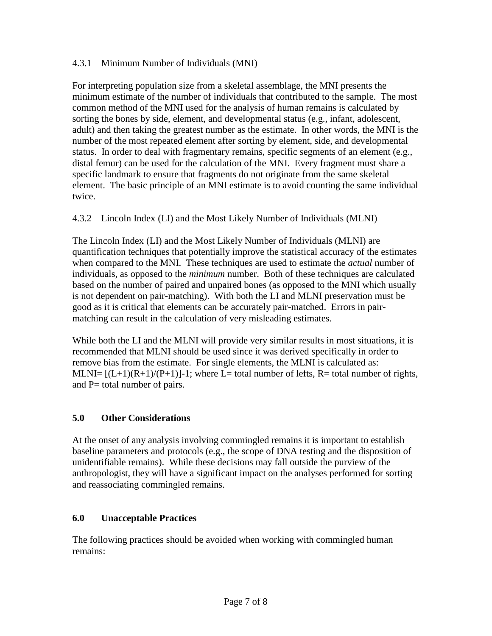#### 4.3.1 Minimum Number of Individuals (MNI)

For interpreting population size from a skeletal assemblage, the MNI presents the minimum estimate of the number of individuals that contributed to the sample. The most common method of the MNI used for the analysis of human remains is calculated by sorting the bones by side, element, and developmental status (e.g., infant, adolescent, adult) and then taking the greatest number as the estimate. In other words, the MNI is the number of the most repeated element after sorting by element, side, and developmental status. In order to deal with fragmentary remains, specific segments of an element (e.g., distal femur) can be used for the calculation of the MNI. Every fragment must share a specific landmark to ensure that fragments do not originate from the same skeletal element. The basic principle of an MNI estimate is to avoid counting the same individual twice.

# 4.3.2 Lincoln Index (LI) and the Most Likely Number of Individuals (MLNI)

The Lincoln Index (LI) and the Most Likely Number of Individuals (MLNI) are quantification techniques that potentially improve the statistical accuracy of the estimates when compared to the MNI. These techniques are used to estimate the *actual* number of individuals, as opposed to the *minimum* number. Both of these techniques are calculated based on the number of paired and unpaired bones (as opposed to the MNI which usually is not dependent on pair-matching). With both the LI and MLNI preservation must be good as it is critical that elements can be accurately pair-matched. Errors in pairmatching can result in the calculation of very misleading estimates.

While both the LI and the MLNI will provide very similar results in most situations, it is recommended that MLNI should be used since it was derived specifically in order to remove bias from the estimate. For single elements, the MLNI is calculated as: MLNI=  $[(L+1)(R+1)/(P+1)]-1$ ; where L= total number of lefts, R= total number of rights, and P= total number of pairs.

#### **5.0 Other Considerations**

At the onset of any analysis involving commingled remains it is important to establish baseline parameters and protocols (e.g., the scope of DNA testing and the disposition of unidentifiable remains). While these decisions may fall outside the purview of the anthropologist, they will have a significant impact on the analyses performed for sorting and reassociating commingled remains.

# **6.0 Unacceptable Practices**

The following practices should be avoided when working with commingled human remains: